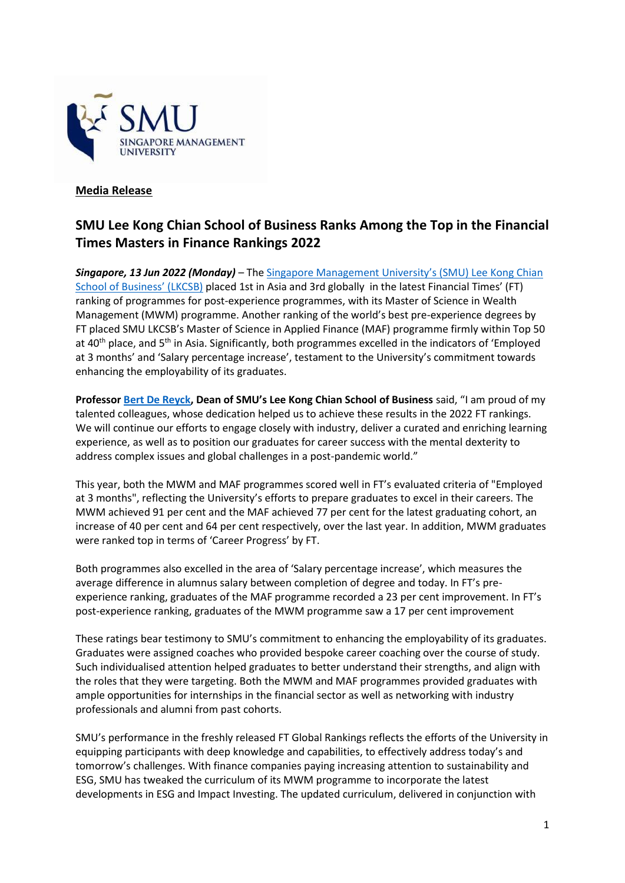

## **Media Release**

# **SMU Lee Kong Chian School of Business Ranks Among the Top in the Financial Times Masters in Finance Rankings 2022**

*Singapore, 13 Jun 2022 (Monday)* – The [Singapore Management University's \(SMU\) Lee Kong Chian](https://business.smu.edu.sg/)  [School of Business' \(LKCSB\)](https://business.smu.edu.sg/) placed 1st in Asia and 3rd globally in the latest Financial Times' (FT) ranking of programmes for post-experience programmes, with its Master of Science in Wealth Management (MWM) programme. Another ranking of the world's best pre-experience degrees by FT placed SMU LKCSB's Master of Science in Applied Finance (MAF) programme firmly within Top 50 at 40<sup>th</sup> place, and 5<sup>th</sup> in Asia. Significantly, both programmes excelled in the indicators of 'Employed at 3 months' and 'Salary percentage increase', testament to the University's commitment towards enhancing the employability of its graduates.

**Professor [Bert De Reyck](https://faculty.smu.edu.sg/profile/bert-de-reyck-5971), Dean of SMU's Lee Kong Chian School of Business** said, "I am proud of my talented colleagues, whose dedication helped us to achieve these results in the 2022 FT rankings. We will continue our efforts to engage closely with industry, deliver a curated and enriching learning experience, as well as to position our graduates for career success with the mental dexterity to address complex issues and global challenges in a post-pandemic world."

This year, both the MWM and MAF programmes scored well in FT's evaluated criteria of "Employed at 3 months", reflecting the University's efforts to prepare graduates to excel in their careers. The MWM achieved 91 per cent and the MAF achieved 77 per cent for the latest graduating cohort, an increase of 40 per cent and 64 per cent respectively, over the last year. In addition, MWM graduates were ranked top in terms of 'Career Progress' by FT.

Both programmes also excelled in the area of 'Salary percentage increase', which measures the average difference in alumnus salary between completion of degree and today. In FT's preexperience ranking, graduates of the MAF programme recorded a 23 per cent improvement. In FT's post-experience ranking, graduates of the MWM programme saw a 17 per cent improvement

These ratings bear testimony to SMU's commitment to enhancing the employability of its graduates. Graduates were assigned coaches who provided bespoke career coaching over the course of study. Such individualised attention helped graduates to better understand their strengths, and align with the roles that they were targeting. Both the MWM and MAF programmes provided graduates with ample opportunities for internships in the financial sector as well as networking with industry professionals and alumni from past cohorts.

SMU's performance in the freshly released FT Global Rankings reflects the efforts of the University in equipping participants with deep knowledge and capabilities, to effectively address today's and tomorrow's challenges. With finance companies paying increasing attention to sustainability and ESG, SMU has tweaked the curriculum of its MWM programme to incorporate the latest developments in ESG and Impact Investing. The updated curriculum, delivered in conjunction with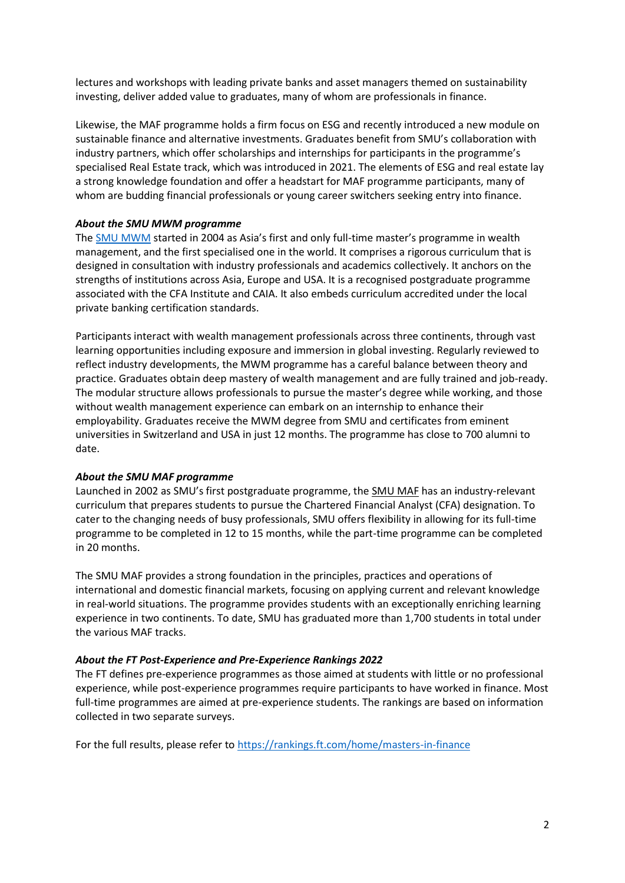lectures and workshops with leading private banks and asset managers themed on sustainability investing, deliver added value to graduates, many of whom are professionals in finance.

Likewise, the MAF programme holds a firm focus on ESG and recently introduced a new module on sustainable finance and alternative investments. Graduates benefit from SMU's collaboration with industry partners, which offer scholarships and internships for participants in the programme's specialised Real Estate track, which was introduced in 2021. The elements of ESG and real estate lay a strong knowledge foundation and offer a headstart for MAF programme participants, many of whom are budding financial professionals or young career switchers seeking entry into finance.

#### *About the SMU MWM programme*

The [SMU MWM](https://business.smu.edu.sg/master-wealth-management) started in 2004 as Asia's first and only full-time master's programme in wealth management, and the first specialised one in the world. It comprises a rigorous curriculum that is designed in consultation with industry professionals and academics collectively. It anchors on the strengths of institutions across Asia, Europe and USA. It is a recognised postgraduate programme associated with the CFA Institute and CAIA. It also embeds curriculum accredited under the local private banking certification standards.

Participants interact with wealth management professionals across three continents, through vast learning opportunities including exposure and immersion in global investing. Regularly reviewed to reflect industry developments, the MWM programme has a careful balance between theory and practice. Graduates obtain deep mastery of wealth management and are fully trained and job-ready. The modular structure allows professionals to pursue the master's degree while working, and those without wealth management experience can embark on an internship to enhance their employability. Graduates receive the MWM degree from SMU and certificates from eminent universities in Switzerland and USA in just 12 months. The programme has close to 700 alumni to date.

#### *About the SMU MAF programme*

Launched in 2002 as SMU's first postgraduate programme, the [SMU MAF](https://business.smu.edu.sg/master-applied-finance) has an industry-relevant curriculum that prepares students to pursue the Chartered Financial Analyst (CFA) designation. To cater to the changing needs of busy professionals, SMU offers flexibility in allowing for its full-time programme to be completed in 12 to 15 months, while the part-time programme can be completed in 20 months.

The SMU MAF provides a strong foundation in the principles, practices and operations of international and domestic financial markets, focusing on applying current and relevant knowledge in real-world situations. The programme provides students with an exceptionally enriching learning experience in two continents. To date, SMU has graduated more than 1,700 students in total under the various MAF tracks.

#### *About the FT Post-Experience and Pre-Experience Rankings 2022*

The FT defines pre-experience programmes as those aimed at students with little or no professional experience, while post-experience programmes require participants to have worked in finance. Most full-time programmes are aimed at pre-experience students. The rankings are based on information collected in two separate surveys.

For the full results, please refer to<https://rankings.ft.com/home/masters-in-finance>